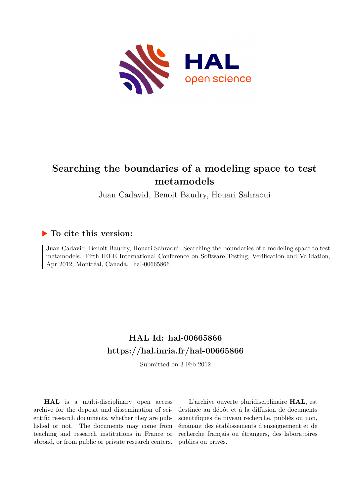

# **Searching the boundaries of a modeling space to test metamodels**

Juan Cadavid, Benoit Baudry, Houari Sahraoui

### **To cite this version:**

Juan Cadavid, Benoit Baudry, Houari Sahraoui. Searching the boundaries of a modeling space to test metamodels. Fifth IEEE International Conference on Software Testing, Verification and Validation, Apr 2012, Montréal, Canada. hal-00665866

## **HAL Id: hal-00665866 <https://hal.inria.fr/hal-00665866>**

Submitted on 3 Feb 2012

**HAL** is a multi-disciplinary open access archive for the deposit and dissemination of scientific research documents, whether they are published or not. The documents may come from teaching and research institutions in France or abroad, or from public or private research centers.

L'archive ouverte pluridisciplinaire **HAL**, est destinée au dépôt et à la diffusion de documents scientifiques de niveau recherche, publiés ou non, émanant des établissements d'enseignement et de recherche français ou étrangers, des laboratoires publics ou privés.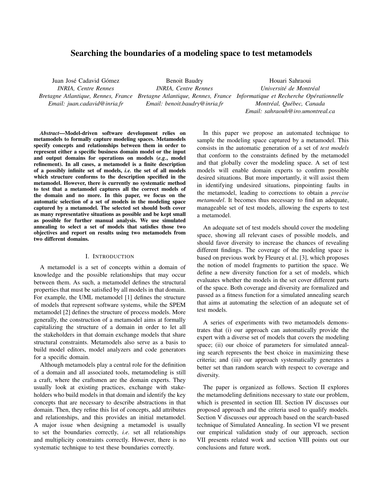### Searching the boundaries of a modeling space to test metamodels

Juan José Cadavid Gómez *INRIA, Centre Rennes*

*Email: juan.cadavid@inria.fr*

Benoit Baudry *INRIA, Centre Rennes Email: benoit.baudry@inria.fr*

*Bretagne Atlantique, Rennes, France Bretagne Atlantique, Rennes, France Informatique et Recherche Operationnelle ´* Houari Sahraoui *Université de Montréal Montreal, Qu ´ ebec, Canada ´ Email: sahraouh@iro.umontreal.ca*

*Abstract*—Model-driven software development relies on metamodels to formally capture modeling spaces. Metamodels specify concepts and relationships between them in order to represent either a specific business domain model or the input and output domains for operations on models (*e.g.*, model refinement). In all cases, a metamodel is a finite description of a possibly infinite set of models, *i.e.* the set of all models which structure conforms to the description specified in the metamodel. However, there is currently no systematic method to test that a metamodel captures all the correct models of the domain and no more. In this paper, we focus on the automatic selection of a set of models in the modeling space captured by a metamodel. The selected set should both cover as many representative situations as possible and be kept small as possible for further manual analysis. We use simulated annealing to select a set of models that satisfies those two objectives and report on results using two metamodels from two different domains.

#### I. INTRODUCTION

A metamodel is a set of concepts within a domain of knowledge and the possible relationships that may occur between them. As such, a metamodel defines the structural properties that must be satisfied by all models in that domain. For example, the UML metamodel [1] defines the structure of models that represent software systems, while the SPEM metamodel [2] defines the structure of process models. More generally, the construction of a metamodel aims at formally capitalizing the structure of a domain in order to let all the stakeholders in that domain exchange models that share structural constraints. Metamodels also serve as a basis to build model editors, model analyzers and code generators for a specific domain.

Although metamodels play a central role for the definition of a domain and all associated tools, metamodeling is still a craft, where the craftsmen are the domain experts. They usually look at existing practices, exchange with stakeholders who build models in that domain and identify the key concepts that are necessary to describe abstractions in that domain. Then, they refine this list of concepts, add attributes and relationships, and this provides an initial metamodel. A major issue when designing a metamodel is usually to set the boundaries correctly, *i.e.* set all relationships and multiplicity constraints correctly. However, there is no systematic technique to test these boundaries correctly.

In this paper we propose an automated technique to sample the modeling space captured by a metamodel. This consists in the automatic generation of a set of *test models* that conform to the constraints defined by the metamodel and that globally cover the modeling space. A set of test models will enable domain experts to confirm possible desired situations. But more importantly, it will assist them in identifying undesired situations, pinpointing faults in the metamodel, leading to corrections to obtain a *precise metamodel*. It becomes thus necessary to find an adequate, manageable set of test models, allowing the experts to test a metamodel.

An adequate set of test models should cover the modeling space, showing all relevant cases of possible models, and should favor diversity to increase the chances of revealing different findings. The coverage of the modeling space is based on previous work by Fleurey et al. [3], which proposes the notion of model fragments to partition the space. We define a new diversity function for a set of models, which evaluates whether the models in the set cover different parts of the space. Both coverage and diversity are formalized and passed as a fitness function for a simulated annealing search that aims at automating the selection of an adequate set of test models.

A series of experiments with two metamodels demonstrates that (i) our approach can automatically provide the expert with a diverse set of models that covers the modeling space; (ii) our choice of parameters for simulated annealing search represents the best choice in maximizing these criteria; and (iii) our approach systematically generates a better set than random search with respect to coverage and diversity.

The paper is organized as follows. Section II explores the metamodeling definitions necessary to state our problem, which is presented in section III. Section IV discusses our proposed approach and the criteria used to qualify models. Section V discusses our approach based on the search-based technique of Simulated Annealing. In section VI we present our empirical validation study of our approach, section VII presents related work and section VIII points out our conclusions and future work.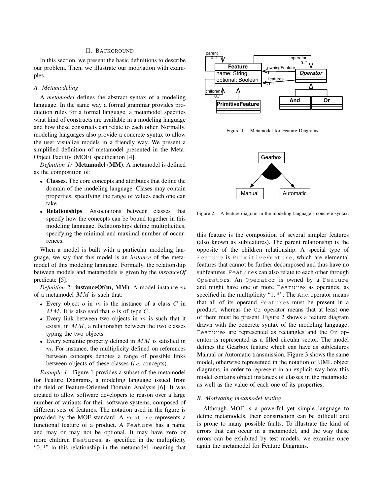#### II. BACKGROUND

In this section, we present the basic definitions to describe our problem. Then, we illustrate our motivation with examples.

#### *A. Metamodeling*

A *metamodel* defines the abstract syntax of a modeling language. In the same way a formal grammar provides production rules for a formal language, a metamodel specifies what kind of constructs are available in a modeling language and how these constructs can relate to each other. Normally, modeling languages also provide a concrete syntax to allow the user visualize models in a friendly way. We present a simplified definition of metamodel presented in the Meta-Object Facility (MOF) specification [4].

*Definition 1:* Metamodel (MM). A metamodel is defined as the composition of:

- Classes. The core concepts and attributes that define the domain of the modeling language. Clases may contain properties, specifying the range of values each one can take.
- Relationships. Associations between classes that specify how the concepts can be bound together in this modeling language. Relationships define multiplicities, specifying the minimal and maximal number of occurrences.

When a model is built with a particular modeling language, we say that this model is an *instance* of the metamodel of this modeling language. Formally, the relationship between models and metamodels is given by the *instanceOf* predicate [5].

*Definition 2:* **instanceOf(m, MM)**. A model instance m of a metamodel  $MM$  is such that:

- Every object  $o$  in  $m$  is the instance of a class  $C$  in  $MM$ . It is also said that *o* is of type *C*.
- Every link between two objects in  $m$  is such that it exists, in  $MM$ , a relationship between the two classes typing the two objects.
- Every semantic property defined in  $MM$  is satisfied in  $m$ . For instance, the multiplicity defined on references between concepts denotes a range of possible links between objects of these classes (*i.e.* concepts).

*Example 1:* Figure 1 provides a subset of the metamodel for Feature Diagrams, a modeling language issued from the field of Feature-Oriented Domain Analysis [6]. It was created to allow software developers to reason over a large number of variants for their software systems, composed of different sets of features. The notation used in the figure is provided by the MOF standard. A Feature represents a functional feature of a product. A Feature has a name and may or may not be optional. It may have zero or more children Features, as specified in the multiplicity



Figure 1. Metamodel for Feature Diagrams.



Figure 2. A feature diagram in the modeling language's concrete syntax.

The metamorform is a strengthenial of the metamorform in the metamorform of a metamorform of a metamorform of a metamorform of a metamorform of a metamorform of the metamorform of the metamorform of the metamorform of the this feature is the composition of several simpler features (also known as subfeatures). The parent relationship is the opposite of the children relationship. A special type of Feature is PrimitiveFeature, which are elemental features that cannot be further decomposed and thus have no subfeatures. Features can also relate to each other through Operators. An Operator is owned by a Feature and might have one or more Features as operands, as specified in the multiplicity "1..\*". The And operator means that all of its operand Features must be present in a product, whereas the Or operator means that at least one of them must be present. Figure 2 shows a feature diagram drawn with the concrete syntax of the modeling language; Features are represented as rectangles and the Or operator is represented as a filled circular sector. The model defines the Gearbox feature which can have as subfeatures Manual or Automatic transmission. Figure 3 shows the same model, otherwise represented in the notation of UML object diagrams, in order to represent in an explicit way how this model contains object instances of classes in the metamodel as well as the value of each one of its properties.

#### *B. Motivating metamodel testing*

Although MOF is a powerful yet simple language to define metamodels, their construction can be difficult and is prone to many possible faults. To illustrate the kind of errors that can occur in a metamodel, and the way these errors can be exhibited by test models, we examine once again the metamodel for Feature Diagrams.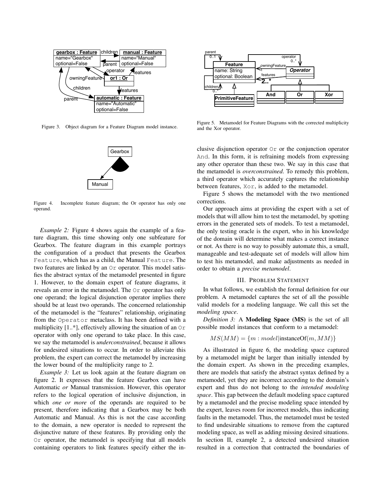

Figure 3. Object diagram for a Feature Diagram model instance.



Figure 4. Incomplete feature diagram; the Or operator has only one operand.

*Example 2:* Figure 4 shows again the example of a feature diagram, this time showing only one subfeature for Gearbox. The feature diagram in this example portrays the configuration of a product that presents the Gearbox Feature, which has as a child, the Manual Feature. The two features are linked by an Or operator. This model satisfies the abstract syntax of the metamodel presented in figure 1. However, to the domain expert of feature diagrams, it reveals an error in the metamodel. The Or operator has only one operand; the logical disjunction operator implies there should be at least two operands. The concerned relationship of the metamodel is the "features" relationship, originating from the Operator metaclass. It has been defined with a multiplicity  $[1..*]$ , effectively allowing the situation of an  $Or$ operator with only one operand to take place. In this case, we say the metamodel is *underconstrained*, because it allows for undesired situations to occur. In order to alleviate this problem, the expert can correct the metamodel by increasing the lower bound of the multiplicity range to 2. Contribution of product the contrast interaction of the interaction of the interaction of the interaction of the interaction of the interaction of the interaction of the interaction of the interaction of the interaction o

*Example 3:* Let us look again at the feature diagram on figure 2. It expresses that the feature Gearbox can have Automatic *or* Manual transmission. However, this operator refers to the logical operation of inclusive disjunction, in which *one or more* of the operands are required to be present, therefore indicating that a Gearbox may be both Automatic and Manual. As this is not the case according to the domain, a new operator is needed to represent the disjunctive nature of these features. By providing only the Or operator, the metamodel is specifying that all models



Figure 5. Metamodel for Feature Diagrams with the corrected multiplicity and the Xor operator.

clusive disjunction operator  $O \r{r}$  or the conjunction operator And. In this form, it is refraining models from expressing any other operator than these two. We say in this case that the metamodel is *overconstrained*. To remedy this problem, a third operator which accurately captures the relationship between features, Xor, is added to the metamodel.

Figure 5 shows the metamodel with the two mentioned corrections.

Our approach aims at providing the expert with a set of models that will allow him to test the metamodel, by spotting errors in the generated sets of models. To test a metamodel, the only testing oracle is the expert, who in his knowledge of the domain will determine what makes a correct instance or not. As there is no way to possibly automate this, a small, manageable and test-adequate set of models will allow him to test his metamodel, and make adjustments as needed in order to obtain a *precise metamodel*.

#### III. PROBLEM STATEMENT

In what follows, we establish the formal definition for our problem. A metamodel captures the set of all the possible valid models for a modeling language. We call this set the *modeling space*.

*Definition 3:* A Modeling Space (MS) is the set of all possible model instances that conform to a metamodel:

$$
MS(MM) = \{m : model | \text{instanceOf}(m, MM)\}
$$

As illustrated in figure 6, the modeling space captured by a metamodel might be larger than initially intended by the domain expert. As shown in the preceding examples, there are models that satisfy the abstract syntax defined by a metamodel, yet they are incorrect according to the domain's expert and thus do not belong to the *intended modeling space*. This gap between the default modeling space captured by a metamodel and the precise modeling space intended by the expert, leaves room for incorrect models, thus indicating faults in the metamodel. Thus, the metamodel must be tested to find undesirable situations to remove from the captured modeling space, as well as adding missing desired situations. In section II, example 2, a detected undesired situation resulted in a correction that contracted the boundaries of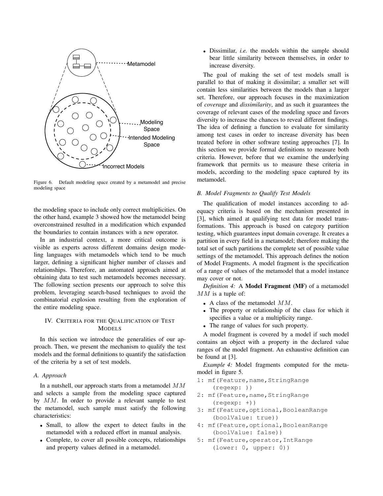

Figure 6. Default modeling space created by a metamodel and precise modeling space

the modeling space to include only correct multiplicities. On the other hand, example 3 showed how the metamodel being overconstrained resulted in a modification which expanded the boundaries to contain instances with a new operator.

In an industrial context, a more critical outcome is visible as experts across different domains design modeling languages with metamodels which tend to be much larger, defining a significant higher number of classes and relationships. Therefore, an automated approach aimed at obtaining data to test such metamodels becomes necessary. The following section presents our approach to solve this problem, leveraging search-based techniques to avoid the combinatorial explosion resulting from the exploration of the entire modeling space.

#### IV. CRITERIA FOR THE QUALIFICATION OF TEST **MODELS**

In this section we introduce the generalities of our approach. Then, we present the mechanism to qualify the test models and the formal definitions to quantify the satisfaction of the criteria by a set of test models.

#### *A. Approach*

In a nutshell, our approach starts from a metamodel MM and selects a sample from the modeling space captured by MM. In order to provide a relevant sample to test the metamodel, such sample must satisfy the following characteristics:

- Small, to allow the expert to detect faults in the metamodel with a reduced effort in manual analysis.
- Complete, to cover all possible concepts, relationships and property values defined in a metamodel.

• Dissimilar, *i.e.* the models within the sample should bear little similarity between themselves, in order to increase diversity.

The goal of making the set of test models small is parallel to that of making it dissimilar; a smaller set will contain less similarities between the models than a larger set. Therefore, our approach focuses in the maximization of *coverage* and *dissimilarity*, and as such it guarantees the coverage of relevant cases of the modeling space and favors diversity to increase the chances to reveal different findings. The idea of defining a function to evaluate for similarity among test cases in order to increase diversity has been treated before in other software testing approaches [7]. In this section we provide formal definitions to measure both criteria. However, before that we examine the underlying framework that permits us to measure these criteria in models, according to the modeling space captured by its metamodel.

#### *B. Model Fragments to Qualify Test Models*

The qualification of model instances according to adequacy criteria is based on the mechanism presented in [3], which aimed at qualifying test data for model transformations. This approach is based on category partition testing, which guarantees input domain coverage. It creates a partition in every field in a metamodel; therefore making the total set of such partitions the complete set of possible value settings of the metamodel. This approach defines the notion of Model Fragments. A model fragment is the specification of a range of values of the metamodel that a model instance may cover or not.

*Definition 4:* A Model Fragment (MF) of a metamodel  $MM$  is a tuple of:

- A class of the metamodel  $MM$ .
- The property or relationship of the class for which it specifies a value or a multiplicity range.
- The range of values for such property.

A model fragment is covered by a model if such model contains an object with a property in the declared value ranges of the model fragment. An exhaustive definition can be found at [3].

*Example 4:* Model fragments computed for the metamodel in figure 5.

- 1: mf (Feature, name, StringRange (regexp: ))
- 2: mf (Feature, name, StringRange  $(reqexp: +)$ )
- 3: mf (Feature, optional, BooleanRange (boolValue: true))
- 4: mf(Feature,optional,BooleanRange (boolValue: false))
- 5: mf(Feature,operator,IntRange (lower: 0, upper: 0))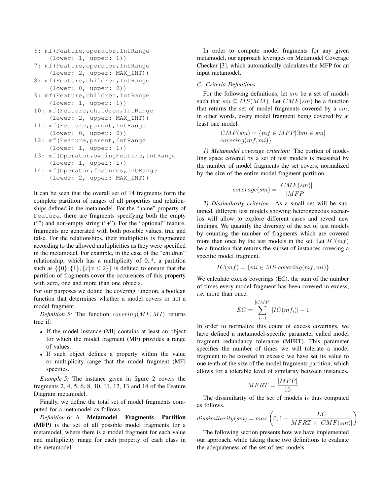```
6: mf(Feature,operator,IntRange
(lower: 1, upper: 1))
```
- 7: mf (Feature, operator, IntRange (lower: 2, upper: MAX\_INT))
- 8: mf (Feature, children, IntRange (lower: 0, upper: 0))
- 9: mf (Feature, children, IntRange (lower: 1, upper: 1))
- 10: mf (Feature, children, IntRange (lower: 2, upper: MAX\_INT))
- 11: mf(Feature,parent,IntRange (lower: 0, upper: 0))
- 12: mf (Feature, parent, IntRange (lower: 1, upper: 1))
- 13: mf (Operator, owningFeature, IntRange (lower: 1, upper: 1))
- 14: mf (Operator, features, IntRange (lower: 2, upper: MAX\_INT))

It can be seen that the overall set of 14 fragments form the complete partition of ranges of all properties and relationships defined in the metamodel. For the "name" property of Feature, there are fragments specifying both the empty ("") and non-empty string ("+"). For the "optional" feature, fragments are generated with both possible values, true and false. For the relationships, their multiplicity is fragmented according to the allowed multiplicities as they were specified in the metamodel. For example, in the case of the "children" relationship, which has a multiplicity of 0..\*, a partition such as  $\{\{0\},\{1\},\{x|x\leq 2\}\}\$ is defined to ensure that the partition of fragments cover the occurences of this property with zero, one and more than one objects.

For our purposes we define the covering function, a boolean function that determines whether a model covers or not a model fragment.

*Definition 5:* The function  $covering(MF, MI)$  returns true if:

- If the model instance (MI) contains at least an object for which the model fragment (MF) provides a range of values.
- If such object defines a property within the value or multiplicity range that the model fragment (MF) specifies.

*Example 5:* The instance given in figure 2 covers the fragments 2, 4, 5, 6, 8, 10, 11, 12, 13 and 14 of the Feature Diagram metamodel.

Finally, we define the total set of model fragments computed for a metamodel as follows.

*Definition 6:* A Metamodel Fragments Partition (MFP) is the set of all possible model fragments for a metamodel, where there is a model fragment for each value and multiplicity range for each property of each class in the metamodel.

In order to compute model fragments for any given metamodel, our approach leverages on Metamodel Coverage Checker [3], which automatically calculates the MFP for an input metamodel.

#### *C. Criteria Definitions*

For the following definitions, let sm be a set of models such that  $sm \subseteq MS(MM)$ . Let  $CMF(sm)$  be a function that returns the set of model fragments covered by a  $sm$ ; in other words, every model fragment being covered by at least one model.

$$
CMF(sm) = \{ mf \in MFP | \exists mi \in sm |
$$
  
covering(mf, mi)

*1) Metamodel coverage criterion:* The portion of modeling space covered by a set of test models is measured by the number of model fragments the set covers, normalized by the size of the entire model fragment partition.

$$
coverage(sm)=\frac{|CMF(sm)|}{|MFP|}
$$

*2) Dissimilarity criterion:* As a small set will be sustained, different test models showing heterogeneous scenarios will allow to explore different cases and reveal new findings. We quantify the diversity of the set of test models by counting the number of fragments which are covered more than once by the test models in the set. Let  $IC(mf)$ be a function that returns the subset of instances covering a specific model fragment.

$$
IC(mf) = \{mi \in MS|covering(mf, mi)\}\
$$

We calculate excess coverings (EC), the sum of the number of times every model fragment has been covered in excess, *i.e.* more than once.

$$
EC = \sum_{i=1}^{|CMF|} |IC(mf_i)| - 1
$$

In order to normalize this count of excess coverings, we have defined a metamodel-specific parameter called model fragment redundancy tolerance (MFRT). This parameter specifies the number of times we will tolerate a model fragment to be covered in excess; we have set its value to one tenth of the size of the model fragments partition, which allows for a tolerable level of similarity between instances.

$$
MFRT = \frac{|MFP|}{10}
$$

The dissimilarity of the set of models is thus computed as follows.

$$
dissimilarity(sm) = max\left(0, 1 - \frac{EC}{MFRT \times |CMF(sm)|}\right)
$$

The following section presents how we have implemented our approach, while taking these two definitions to evaluate the adequateness of the set of test models.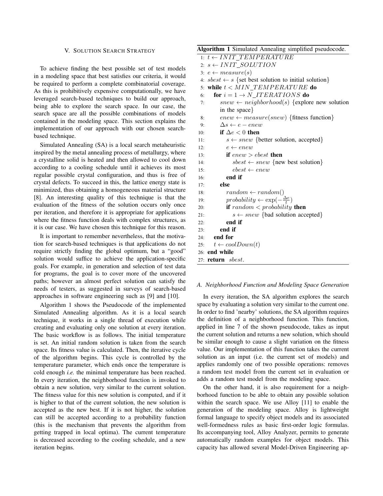#### V. SOLUTION SEARCH STRATEGY

To achieve finding the best possible set of test models in a modeling space that best satisfies our criteria, it would be required to perform a complete combinatorial coverage. As this is prohibitively expensive computationally, we have leveraged search-based techniques to build our approach, being able to explore the search space. In our case, the search space are all the possible combinations of models contained in the modeling space. This section explains the implementation of our approach with our chosen searchbased technique.

Simulated Annealing (SA) is a local search metaheuristic inspired by the metal annealing process of metallurgy, where a crystalline solid is heated and then allowed to cool down according to a cooling schedule until it achieves its most regular possible crystal configuration, and thus is free of crystal defects. To succeed in this, the lattice energy state is minimized, thus obtaining a homogeneous material structure [8]. An interesting quality of this technique is that the evaluation of the fitness of the solution occurs only once per iteration, and therefore it is appropriate for applications where the fitness function deals with complex structures, as it is our case. We have chosen this technique for this reason.

It is important to remember nevertheless, that the motivation for search-based techniques is that applications do not require strictly finding the global optimum, but a "good" solution would suffice to achieve the application-specific goals. For example, in generation and selection of test data for programs, the goal is to cover more of the uncovered paths; however an almost perfect solution can satisfy the needs of testers, as suggested in surveys of search-based approaches in software engineering such as [9] and [10].

Algorithm 1 shows the Pseudocode of the implemented Simulated Annealing algorithm. As it is a local search technique, it works in a single thread of execution while creating and evaluating only one solution at every iteration. The basic workflow is as follows. The initial temperature is set. An initial random solution is taken from the search space. Its fitness value is calculated. Then, the iterative cycle of the algorithm begins. This cycle is controlled by the temperature parameter, which ends once the temperature is cold enough *i.e.* the minimal temperature has been reached. In every iteration, the neighborhood function is invoked to obtain a new solution, very similar to the current solution. The fitness value for this new solution is computed, and if it is higher to that of the current solution, the new solution is accepted as the new best. If it is not higher, the solution can still be accepted according to a probability function (this is the mechanism that prevents the algorithm from getting trapped in local optima). The current temperature is decreased according to the cooling schedule, and a new iteration begins.

Algorithm 1 Simulated Annealing simplified pseudocode.

|     | 1: $t \leftarrow \text{INIT\_TEMPERATURE}$                      |
|-----|-----------------------------------------------------------------|
|     | 2: $s \leftarrow \text{INIT\_SOLUTION}$                         |
|     | 3: $e \leftarrow measure(s)$                                    |
|     | 4: $sbest \leftarrow s$ {set best solution to initial solution} |
| 5:  | while $t < MIN\_TEMPERATURE$ do                                 |
| 6:  | for $i = 1 \rightarrow N\_ITERATIONS$ do                        |
| 7:  | snew $\leftarrow$ neighborhood(s) {explore new solution         |
|     | in the space }                                                  |
| 8:  | $enew \leftarrow measure(snew)$ {fitness function}              |
| 9:  | $\Delta s \leftarrow e - enew$                                  |
| 10: | if $\Delta e < 0$ then                                          |
| 11: | $s \leftarrow \text{snew}$ {better solution, accepted}          |
| 12: | $e \leftarrow enew$                                             |
| 13: | if enew $>$ ebest then                                          |
| 14: | sbest $\leftarrow$ snew {new best solution}                     |
| 15: | $ebest \leftarrow enew$                                         |
| 16: | end if                                                          |
| 17: | else                                                            |
| 18: | $random \leftarrow random()$                                    |
| 19: | $probability \leftarrow \exp(-\frac{\Delta e}{t})$              |
| 20: | if $random < probability$ then                                  |
| 21: | $s \leftarrow \text{snew}$ {bad solution accepted}              |
| 22: | end if                                                          |
| 23: | end if                                                          |
|     | 24: end for                                                     |
|     | 25: $t \leftarrow coolDown(t)$                                  |
|     | 26: end while                                                   |
|     | 27: return sbest.                                               |

#### *A. Neighborhood Function and Modeling Space Generation*

In every iteration, the SA algorithm explores the search space by evaluating a solution very similar to the current one. In order to find 'nearby' solutions, the SA algorithm requires the definition of a neighborhood function. This function, applied in line 7 of the shown pseudocode, takes as input the current solution and returns a new solution, which should be similar enough to cause a slight variation on the fitness value. Our implementation of this function takes the current solution as an input (i.e. the current set of models) and applies randomly one of two possible operations: removes a random test model from the current set in evaluation or adds a random test model from the modeling space.

On the other hand, it is also requirement for a neighborhood function to be able to obtain any possible solution within the search space. We use Alloy [11] to enable the generation of the modeling space. Alloy is lightweight formal language to specify object models and its associated well-formedness rules as basic first-order logic formulas. Its accompanying tool, Alloy Analyzer, permits to generate automatically random examples for object models. This capacity has allowed several Model-Driven Engineering ap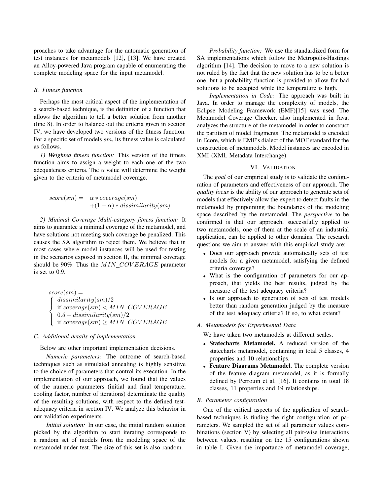proaches to take advantage for the automatic generation of test instances for metamodels [12], [13]. We have created an Alloy-powered Java program capable of enumerating the complete modeling space for the input metamodel.

#### *B. Fitness function*

Perhaps the most critical aspect of the implementation of a search-based technique, is the definition of a function that allows the algorithm to tell a better solution from another (line 8). In order to balance out the criteria given in section IV, we have developed two versions of the fitness function. For a specific set of models sm, its fitness value is calculated as follows.

*1) Weighted fitness function:* This version of the fitness function aims to assign a weight to each one of the two adequateness criteria. The  $\alpha$  value will determine the weight given to the criteria of metamodel coverage.

$$
score(sm) = \alpha * coverage(sm)
$$
  
+(1 - \alpha) \* dissimilarity(sm)

*2) Minimal Coverage Multi-category fitness function:* It aims to guarantee a minimal coverage of the metamodel, and have solutions not meeting such coverage be penalized. This causes the SA algorithm to reject them. We believe that in most cases where model instances will be used for testing in the scenarios exposed in section II, the minimal coverage should be 90%. Thus the  $MIN\_COVERAGE$  parameter is set to 0.9.

> $score(sm) =$  $\sqrt{ }$  $\int$  $\mathcal{L}$  $dissimilarity(sm)/2$ if  $coverage(sm) < MIN\_COVERAGE$  $0.5 + dissimilarity(sm)/2$ if  $coverage(sm) \geq MIN\_COVERAGE$

#### *C. Additional details of implementation*

Below are other important implementation decisions.

*Numeric parameters:* The outcome of search-based techniques such as simulated annealing is highly sensitive to the choice of parameters that control its execution. In the implementation of our approach, we found that the values of the numeric parameters (initial and final temperature, cooling factor, number of iterations) determinate the quality of the resulting solutions, with respect to the defined testadequacy criteria in section IV. We analyze this behavior in our validation experiments.

*Initial solution:* In our case, the initial random solution picked by the algorithm to start iterating corresponds to a random set of models from the modeling space of the metamodel under test. The size of this set is also random.

*Probability function:* We use the standardized form for SA implementations which follow the Metropolis-Hastings algorithm [14]. The decision to move to a new solution is not ruled by the fact that the new solution has to be a better one, but a probability function is provided to allow for bad solutions to be accepted while the temperature is high.

*Implementation in Code:* The approach was built in Java. In order to manage the complexity of models, the Eclipse Modeling Framework (EMF)[15] was used. The Metamodel Coverage Checker, also implemented in Java, analyzes the structure of the metamodel in order to construct the partition of model fragments. The metamodel is encoded in Ecore, which is EMF's dialect of the MOF standard for the construction of metamodels. Model instances are encoded in XMI (XML Metadata Interchange).

#### VI. VALIDATION

The *goal* of our empirical study is to validate the configuration of parameters and effectiveness of our approach. The *quality focus* is the ability of our approach to generate sets of models that effectively allow the expert to detect faults in the metamodel by pinpointing the boundaries of the modeling space described by the metamodel. The *perspective* to be confirmed is that our approach, successfully applied to two metamodels, one of them at the scale of an industrial application, can be applied to other domains. The research questions we aim to answer with this empirical study are:

- Does our approach provide automatically sets of test models for a given metamodel, satisfying the defined criteria coverage?
- What is the configuration of parameters for our approach, that yields the best results, judged by the measure of the test adequacy criteria?
- Is our approach to generation of sets of test models better than random generation judged by the measure of the test adequacy criteria? If so, to what extent?

#### *A. Metamodels for Experimental Data*

We have taken two metamodels at different scales.

- Statecharts Metamodel. A reduced version of the statecharts metamodel, containing in total 5 classes, 4 properties and 10 relationships.
- Feature Diagrams Metamodel. The complete version of the feature diagram metamodel, as it is formally defined by Perrouin et al. [16]. It contains in total 18 classes, 11 properties and 19 relationships.

#### *B. Parameter configuration*

One of the critical aspects of the application of searchbased techniques is finding the right configuration of parameters. We sampled the set of all parameter values combinations (section V) by selecting all pair-wise interactions between values, resulting on the 15 configurations shown in table I. Given the importance of metamodel coverage,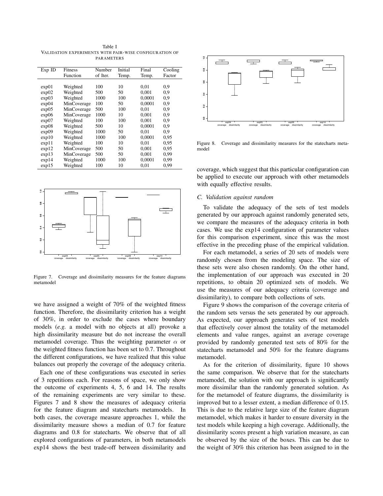Table I VALIDATION EXPERIMENTS WITH PAIR-WISE CONFIGURATION OF PARAMETERS

| $Exp$ ID | Fitness     | Number   | Initial | Final  | Cooling |
|----------|-------------|----------|---------|--------|---------|
|          | Function    | of Iter. | Temp.   | Temp.  | Factor  |
|          |             |          |         |        |         |
| exp01    | Weighted    | 100      | 10      | 0.01   | 0,9     |
| exp02    | Weighted    | 500      | 50      | 0.001  | 0,9     |
| exp03    | Weighted    | 1000     | 100     | 0.0001 | 0,9     |
| exp04    | MinCoverage | 100      | 50      | 0.0001 | 0,9     |
| exp05    | MinCoverage | 500      | 100     | 0.01   | 0,9     |
| exp06    | MinCoverage | 1000     | 10      | 0.001  | 0,9     |
| exp07    | Weighted    | 100      | 100     | 0.001  | 0,9     |
| exp08    | Weighted    | 500      | 10      | 0,0001 | 0,9     |
| exp09    | Weighted    | 1000     | 50      | 0.01   | 0,9     |
| exp10    | Weighted    | 1000     | 100     | 0.0001 | 0.95    |
| exp11    | Weighted    | 100      | 10      | 0.01   | 0.95    |
| exp12    | MinCoverage | 500      | 50      | 0.001  | 0,95    |
| exp13    | MinCoverage | 500      | 50      | 0.001  | 0.99    |
| exp14    | Weighted    | 1000     | 100     | 0.0001 | 0,99    |
| exp15    | Weighted    | 100      | 10      | 0.01   | 0,99    |



Figure 7. Coverage and dissimilarity measures for the feature diagrams metamodel

we have assigned a weight of 70% of the weighted fitness function. Therefore, the dissimilarity criterion has a weight of 30%, in order to exclude the cases where boundary models (*e.g.* a model with no objects at all) provoke a high dissimilarity measure but do not increase the overall metamodel coverage. Thus the weighting parameter  $\alpha$  or the weighted fitness function has been set to 0.7. Throughout the different configurations, we have realized that this value balances out properly the coverage of the adequacy criteria.

Each one of these configurations was executed in series of 3 repetitions each. For reasons of space, we only show the outcome of experiments 4, 5, 6 and 14. The results of the remaining experiments are very similar to these. Figures 7 and 8 show the measures of adequacy criteria for the feature diagram and statecharts metamodels. In both cases, the coverage measure approaches 1, while the dissimilarity measure shows a median of 0.7 for feature diagrams and 0.8 for statecharts. We observe that of all explored configurations of parameters, in both metamodels exp14 shows the best trade-off between dissimilarity and



Figure 8. Coverage and dissimilarity measures for the statecharts metamodel

coverage, which suggest that this particular configuration can be applied to execute our approach with other metamodels with equally effective results.

#### *C. Validation against random*

To validate the adequacy of the sets of test models generated by our approach against randomly generated sets, we compare the measures of the adequacy criteria in both cases. We use the exp14 configuration of parameter values for this comparison experiment, since this was the most effective in the preceding phase of the empirical validation.

For each metamodel, a series of 20 sets of models were randomly chosen from the modeling space. The size of these sets were also chosen randomly. On the other hand, the implementation of our approach was executed in 20 repetitions, to obtain 20 optimized sets of models. We use the measures of our adequacy criteria (coverage and dissimilarity), to compare both collections of sets.

Figure 9 shows the comparison of the coverage criteria of the random sets versus the sets generated by our approach. As expected, our approach generates sets of test models that effectively cover almost the totality of the metamodel elements and value ranges, against an average coverage provided by randomly generated test sets of 80% for the statecharts metamodel and 50% for the feature diagrams metamodel.

As for the criterion of dissimilarity, figure 10 shows the same comparison. We observe that for the statecharts metamodel, the solution with our approach is significantly more dissimilar than the randomly generated solution. As for the metamodel of feature diagrams, the dissimilarity is improved but to a lesser extent, a median difference of 0.15. This is due to the relative large size of the feature diagram metamodel, which makes it harder to ensure diversity in the test models while keeping a high coverage. Additionally, the dissimilarity scores present a high variation measure, as can be observed by the size of the boxes. This can be due to the weight of 30% this criterion has been assigned to in the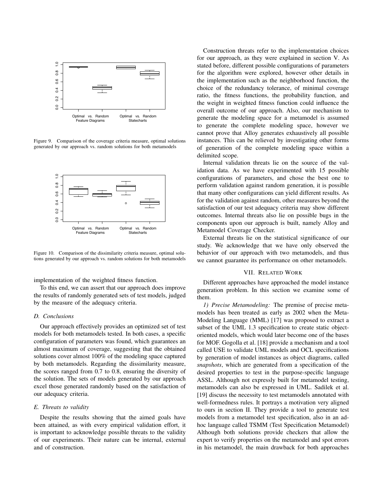

Figure 9. Comparison of the coverage criteria measure, optimal solutions generated by our approach vs. random solutions for both metamodels



Figure 10. Comparison of the dissimilarity criteria measure, optimal solutions generated by our approach vs. random solutions for both metamodels

implementation of the weighted fitness function.

To this end, we can assert that our approach does improve the results of randomly generated sets of test models, judged by the measure of the adequacy criteria.

#### *D. Conclusions*

Our approach effectively provides an optimized set of test models for both metamodels tested. In both cases, a specific configuration of parameters was found, which guarantees an almost maximum of coverage, suggesting that the obtained solutions cover almost 100% of the modeling space captured by both metamodels. Regarding the dissimilarity measure, the scores ranged from 0.7 to 0.8, ensuring the diversity of the solution. The sets of models generated by our approach excel those generated randomly based on the satisfaction of our adequacy criteria.

#### *E. Threats to validity*

Despite the results showing that the aimed goals have been attained, as with every empirical validation effort, it is important to acknowledge possible threats to the validity of our experiments. Their nature can be internal, external and of construction.

Construction threats refer to the implementation choices for our approach, as they were explained in section V. As stated before, different possible configurations of parameters for the algorithm were explored, however other details in the implementation such as the neighborhood function, the choice of the redundancy tolerance, of minimal coverage ratio, the fitness functions, the probability function, and the weight in weighted fitness function could influence the overall outcome of our approach. Also, our mechanism to generate the modeling space for a metamodel is assumed to generate the complete modeling space, however we cannot prove that Alloy generates exhaustively all possible instances. This can be relieved by investigating other forms of generation of the complete modeling space within a delimited scope.

Internal validation threats lie on the source of the validation data. As we have experimented with 15 possible configurations of parameters, and chose the best one to perform validation against random generation, it is possible that many other configurations can yield different results. As for the validation against random, other measures beyond the satisfaction of our test adequacy criteria may show different outcomes. Internal threats also lie on possible bugs in the components upon our approach is built, namely Alloy and Metamodel Coverage Checker.

External threats lie on the statistical significance of our study. We acknowledge that we have only observed the behavior of our approach with two metamodels, and thus we cannot guarantee its performance on other metamodels.

#### VII. RELATED WORK

Different approaches have approached the model instance generation problem. In this section we examine some of them.

*1) Precise Metamodeling:* The premise of precise metamodels has been treated as early as 2002 when the Meta-Modeling Language (MML) [17] was proposed to extract a subset of the UML 1.3 specification to create static objectoriented models, which would later become one of the bases for MOF. Gogolla et al. [18] provide a mechanism and a tool called USE to validate UML models and OCL specifications by generation of model instances as object diagrams, called *snapshots*, which are generated from a specification of the desired properties to test in the purpose-specific language ASSL. Although not expressly built for metamodel testing, metamodels can also be expressed in UML. Sadilek et al. [19] discuss the necessity to test metamodels annotated with well-formedness rules. It portrays a motivation very aligned to ours in section II. They provide a tool to generate test models from a metamodel test specification, also in an adhoc language called TSMM (Test Specification Metamodel) Although both solutions provide checkers that allow the expert to verify properties on the metamodel and spot errors in his metamodel, the main drawback for both approaches